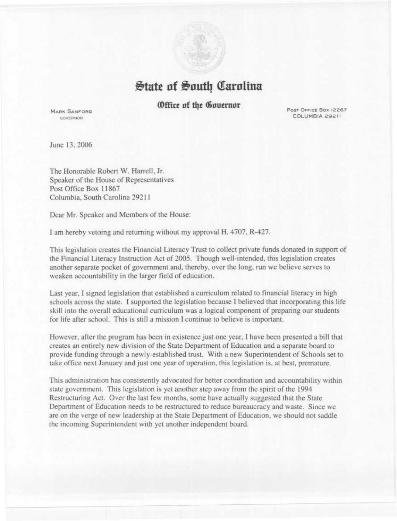$\frac{1}{2}$ tate of South Carolina

## *<u>@ffice</u>* of the Governor

**MARK SANFORD GOVERNOR** 

Post Office Box 12267 COLUMBIA 29211

June 13,2006

The Honorable Robert W. Harrell, Jr. Speaker of the House of Representatives Post Office Box 11867 Columbia, South Carolina 292 11

Dear Mr. Speaker and Members of the House:

I am hereby vetoing and returning without my approval H. 4707, R-427.

This legislation creates the Financial Literacy Trust to collect private funds donated in support of the Financial Literacy Instruction Act of 2005. Though well-intended, this legislation creates another separate pocket of government and, thereby, over the long, run we believe serves to weaken accountability in the larger field of education.

Last year, 1 signed legislation that established a curriculum related to financial literacy in high schools across the state. I supported the legislation because I believed that incorporating this life skill into the overall educational curriculum was a logical component of preparing our students for life after school. This is still a mission I continue to believe is important.

However, after the program has been in existence just one year, I have been presented a bill that creates an entirely new division of the State Department of Education and a separate board to provide funding through a newly-established trust. With a new Superintendent of Schools set to take office next January and just one year of operation, this legislation is, at best, premature.

This administration has consistently advocated for better coordination and accountability within state government. This legislation is yet another step away from the spirit of the 1994 Restructuring Act. Over the last few months, some have actually suggested that the State Department of Education needs to be restructured to reduce bureaucracy and waste. Since we are on the verge of new leadership at the State Department of Education, we should not saddle the incoming Superintendent with yet another independent board.